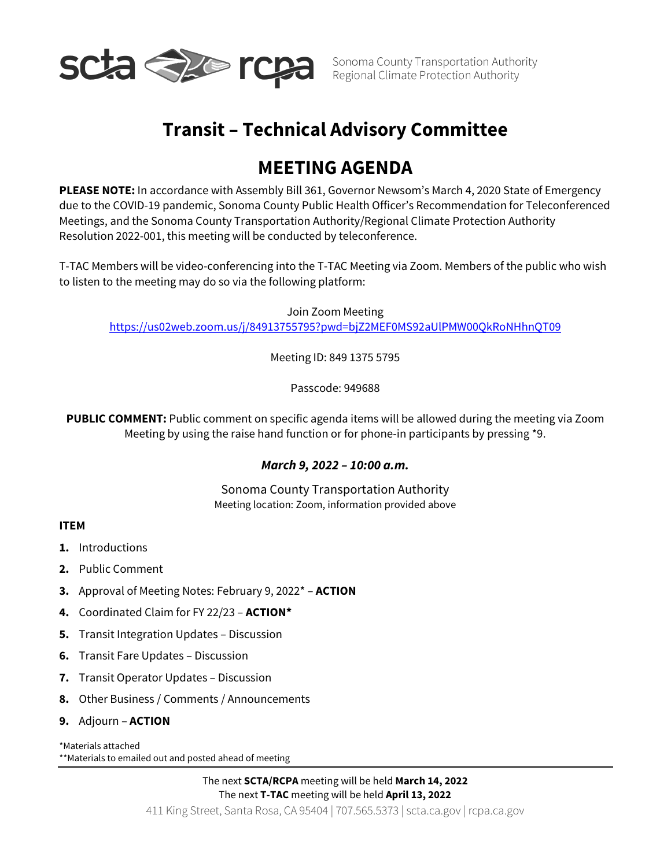

# **Transit – Technical Advisory Committee**

# **MEETING AGENDA**

**PLEASE NOTE:** In accordance with Assembly Bill 361, Governor Newsom's March 4, 2020 State of Emergency due to the COVID-19 pandemic, Sonoma County Public Health Officer's Recommendation for Teleconferenced Meetings, and the Sonoma County Transportation Authority/Regional Climate Protection Authority Resolution 2022-001, this meeting will be conducted by teleconference.

T-TAC Members will be video-conferencing into the T-TAC Meeting via Zoom. Members of the public who wish to listen to the meeting may do so via the following platform:

Join Zoom Meeting <https://us02web.zoom.us/j/84913755795?pwd=bjZ2MEF0MS92aUlPMW00QkRoNHhnQT09>

Meeting ID: 849 1375 5795

Passcode: 949688

**PUBLIC COMMENT:** Public comment on specific agenda items will be allowed during the meeting via Zoom Meeting by using the raise hand function or for phone-in participants by pressing \*9.

# *March 9, 2022 – 10:00 a.m.*

Sonoma County Transportation Authority Meeting location: Zoom, information provided above

# **ITEM**

- **1.** Introductions
- **2.** Public Comment
- **3.** Approval of Meeting Notes: February 9, 2022\* **ACTION**
- **4.** Coordinated Claim for FY 22/23 **ACTION\***
- **5.** Transit Integration Updates Discussion
- **6.** Transit Fare Updates Discussion
- **7.** Transit Operator Updates Discussion
- **8.** Other Business / Comments / Announcements
- **9.** Adjourn **ACTION**

#### \*Materials attached

\*\*Materials to emailed out and posted ahead of meeting

411 King Street, Santa Rosa, CA 95404 | [707.565.5373](tel:707.565.5373) | [scta.ca.gov](http://scta.ca.gov/) | [rcpa.ca.gov](http://rcpa.ca.gov/) The next **SCTA/RCPA** meeting will be held **March 14, 2022** The next **T-TAC** meeting will be held **April 13, 2022**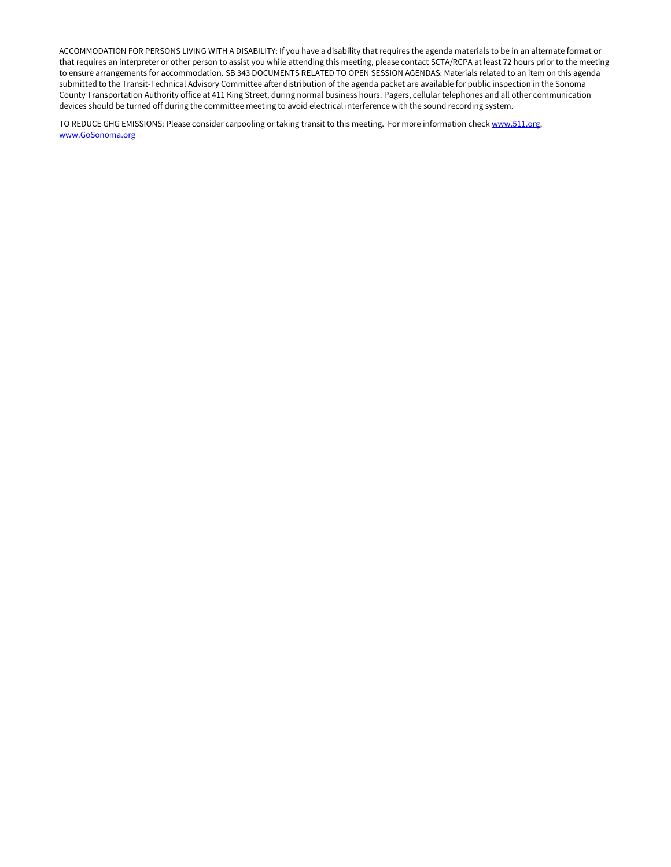ACCOMMODATION FOR PERSONS LIVING WITH A DISABILITY: If you have a disability that requires the agenda materials to be in an alternate format or that requires an interpreter or other person to assist you while attending this meeting, please contact SCTA/RCPA at least 72 hours prior to the meeting to ensure arrangements for accommodation. SB 343 DOCUMENTS RELATED TO OPEN SESSION AGENDAS: Materials related to an item on this agenda submitted to the Transit-Technical Advisory Committee after distribution of the agenda packet are available for public inspection in the Sonoma County Transportation Authority office at 411 King Street, during normal business hours. Pagers, cellular telephones and all other communication devices should be turned off during the committee meeting to avoid electrical interference with the sound recording system.

TO REDUCE GHG EMISSIONS: Please consider carpooling or taking transit to this meeting. For more information chec[k www.511.org,](http://www.511.org/) [www.GoSonoma.org](http://www.gosonoma.org/)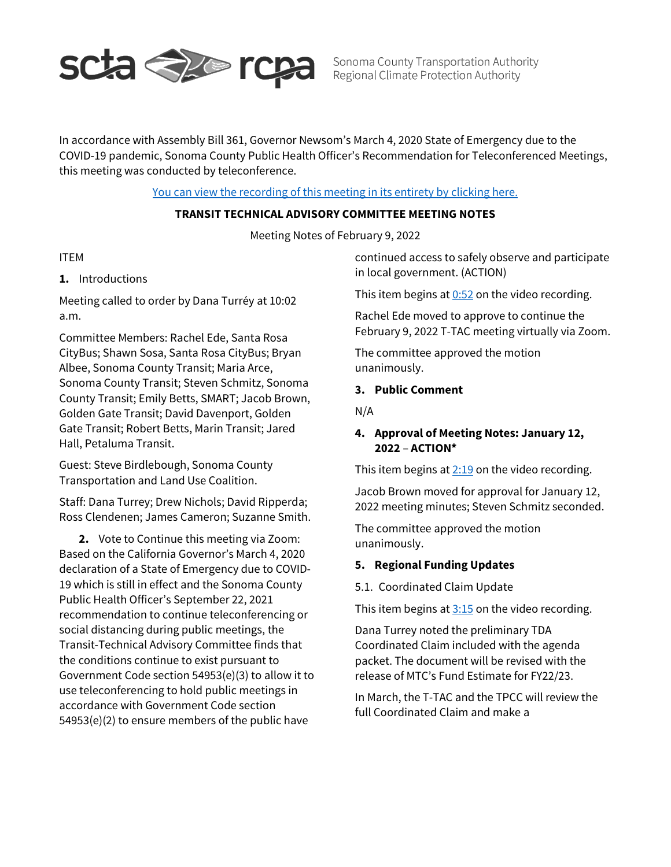

Sonoma County Transportation Authority Regional Climate Protection Authority

In accordance with Assembly Bill 361, Governor Newsom's March 4, 2020 State of Emergency due to the COVID-19 pandemic, Sonoma County Public Health Officer's Recommendation for Teleconferenced Meetings, this meeting was conducted by teleconference.

# [You can view the recording of this meeting in its entirety by clicking here.](https://www.youtube.com/watch?v=nw2fOIVBGR8)

# **TRANSIT TECHNICAL ADVISORY COMMITTEE MEETING NOTES**

Meeting Notes of February 9, 2022

#### ITEM

# **1.** Introductions

Meeting called to order by Dana Turréy at 10:02 a.m.

Committee Members: Rachel Ede, Santa Rosa CityBus; Shawn Sosa, Santa Rosa CityBus; Bryan Albee, Sonoma County Transit; Maria Arce, Sonoma County Transit; Steven Schmitz, Sonoma County Transit; Emily Betts, SMART; Jacob Brown, Golden Gate Transit; David Davenport, Golden Gate Transit; Robert Betts, Marin Transit; Jared Hall, Petaluma Transit.

Guest: Steve Birdlebough, Sonoma County Transportation and Land Use Coalition.

Staff: Dana Turrey; Drew Nichols; David Ripperda; Ross Clendenen; James Cameron; Suzanne Smith.

**2.** Vote to Continue this meeting via Zoom: Based on the California Governor's March 4, 2020 declaration of a State of Emergency due to COVID-19 which is still in effect and the Sonoma County Public Health Officer's September 22, 2021 recommendation to continue teleconferencing or social distancing during public meetings, the Transit-Technical Advisory Committee finds that the conditions continue to exist pursuant to Government Code section 54953(e)(3) to allow it to use teleconferencing to hold public meetings in accordance with Government Code section 54953(e)(2) to ensure members of the public have

continued access to safely observe and participate in local government. (ACTION)

This item begins at  $0:52$  on the video recording.

Rachel Ede moved to approve to continue the February 9, 2022 T-TAC meeting virtually via Zoom.

The committee approved the motion unanimously.

#### **3. Public Comment**

N/A

# **4. Approval of Meeting Notes: January 12, 2022** – **ACTION\***

This item begins at  $2:19$  on the video recording.

Jacob Brown moved for approval for January 12, 2022 meeting minutes; Steven Schmitz seconded.

The committee approved the motion unanimously.

#### **5. Regional Funding Updates**

5.1. Coordinated Claim Update

This item begins at  $3:15$  on the video recording.

Dana Turrey noted the preliminary TDA Coordinated Claim included with the agenda packet. The document will be revised with the release of MTC's Fund Estimate for FY22/23.

In March, the T-TAC and the TPCC will review the full Coordinated Claim and make a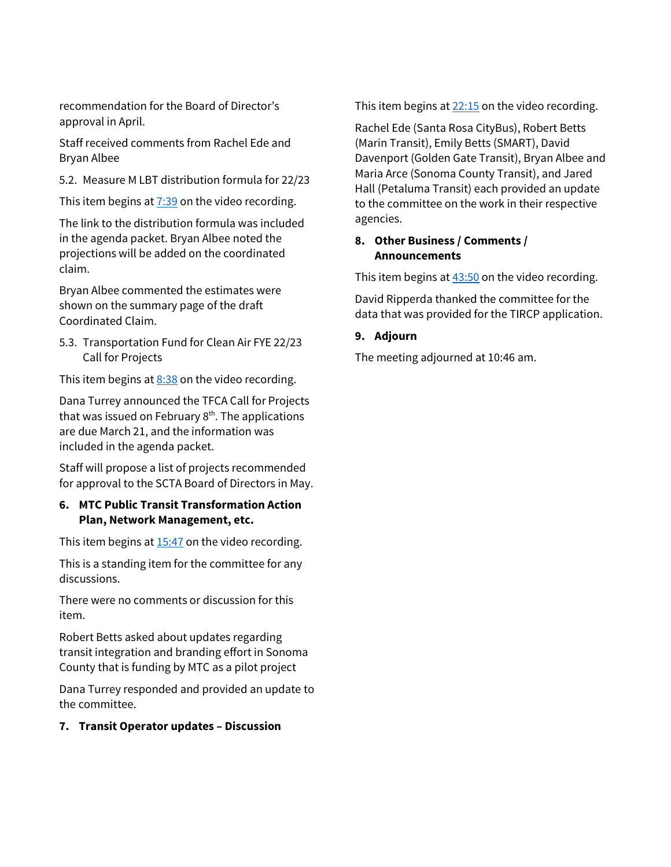recommendation for the Board of Director's approval in April.

Staff received comments from Rachel Ede and Bryan Albee

5.2. Measure M LBT distribution formula for 22/23

This item begins at  $7:39$  on the video recording.

The link to the distribution formula was included in the agenda packet. Bryan Albee noted the projections will be added on the coordinated claim.

Bryan Albee commented the estimates were shown on the summary page of the draft Coordinated Claim.

5.3. Transportation Fund for Clean Air FYE 22/23 Call for Projects

This item begins at  $8:38$  on the video recording.

Dana Turrey announced the TFCA Call for Projects that was issued on February  $8<sup>th</sup>$ . The applications are due March 21, and the information was included in the agenda packet.

Staff will propose a list of projects recommended for approval to the SCTA Board of Directors in May.

# **6. MTC Public Transit Transformation Action Plan, Network Management, etc.**

This item begins at  $15:47$  on the video recording.

This is a standing item for the committee for any discussions.

There were no comments or discussion for this item.

Robert Betts asked about updates regarding transit integration and branding effort in Sonoma County that is funding by MTC as a pilot project

Dana Turrey responded and provided an update to the committee.

# **7. Transit Operator updates – Discussion**

This item begins at  $22:15$  on the video recording.

Rachel Ede (Santa Rosa CityBus), Robert Betts (Marin Transit), Emily Betts (SMART), David Davenport (Golden Gate Transit), Bryan Albee and Maria Arce (Sonoma County Transit), and Jared Hall (Petaluma Transit) each provided an update to the committee on the work in their respective agencies.

# **8. Other Business / Comments / Announcements**

This item begins at  $43:50$  on the video recording.

David Ripperda thanked the committee for the data that was provided for the TIRCP application.

# **9. Adjourn**

The meeting adjourned at 10:46 am.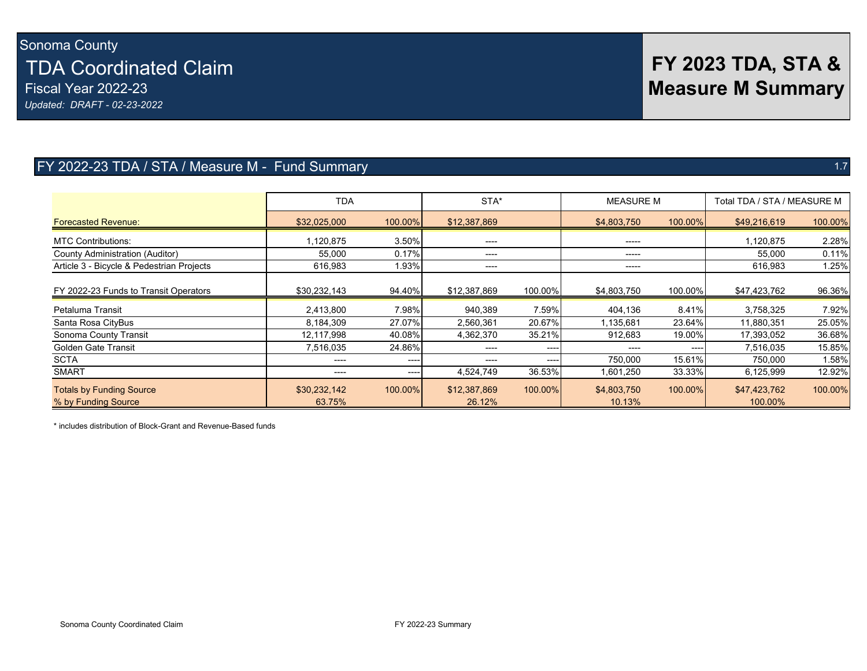Sonoma County TDA Coordinated Claim Fiscal Year 2022-23 *Updated: DRAFT - 02-23-2022*

# FY 2022-23 TDA / STA / Measure M - Fund Summary 1.7 and 1.7 and 1.7 and 1.7 and 1.7 and 1.7 and 1.7 and 1.7 and 1.7

|                                                        | STA*<br><b>TDA</b>     |           | <b>MEASURE M</b>       |           | Total TDA / STA / MEASURE M |           |                         |         |
|--------------------------------------------------------|------------------------|-----------|------------------------|-----------|-----------------------------|-----------|-------------------------|---------|
| <b>Forecasted Revenue:</b>                             | \$32,025,000           | 100.00%   | \$12,387,869           |           | \$4,803,750                 | 100.00%   | \$49,216,619            | 100.00% |
| <b>MTC Contributions:</b>                              | 1,120,875              | 3.50%     | ----                   |           | $- - - - -$                 |           | 1,120,875               | 2.28%   |
| <b>County Administration (Auditor)</b>                 | 55,000                 | 0.17%     | ----                   |           | -----                       |           | 55,000                  | 0.11%   |
| Article 3 - Bicycle & Pedestrian Projects              | 616,983                | 1.93%     | $---$                  |           | -----                       |           | 616,983                 | 1.25%   |
| FY 2022-23 Funds to Transit Operators                  | \$30,232,143           | 94.40%    | \$12,387,869           | 100.00%   | \$4,803,750                 | 100.00%   | \$47,423,762            | 96.36%  |
| Petaluma Transit                                       | 2,413,800              | 7.98%     | 940,389                | 7.59%     | 404,136                     | 8.41%     | 3,758,325               | 7.92%   |
| Santa Rosa CityBus                                     | 8,184,309              | 27.07%    | 2,560,361              | 20.67%    | 1,135,681                   | 23.64%    | 11,880,351              | 25.05%  |
| Sonoma County Transit                                  | 12,117,998             | 40.08%    | 4,362,370              | 35.21%    | 912,683                     | 19.00%    | 17,393,052              | 36.68%  |
| <b>Golden Gate Transit</b>                             | 7,516,035              | 24.86%    | ----                   | $- - - -$ | $---$                       | $- - - -$ | 7,516,035               | 15.85%  |
| <b>SCTA</b>                                            | ----                   | $- - - -$ | $---$                  | ----      | 750,000                     | 15.61%    | 750,000                 | 1.58%   |
| <b>SMART</b>                                           | ----                   | ----      | 4,524,749              | 36.53%    | 1,601,250                   | 33.33%    | 6,125,999               | 12.92%  |
| <b>Totals by Funding Source</b><br>% by Funding Source | \$30,232,142<br>63.75% | 100.00%   | \$12,387,869<br>26.12% | 100.00%   | \$4,803,750<br>10.13%       | 100.00%   | \$47,423,762<br>100.00% | 100.00% |

\* includes distribution of Block-Grant and Revenue-Based funds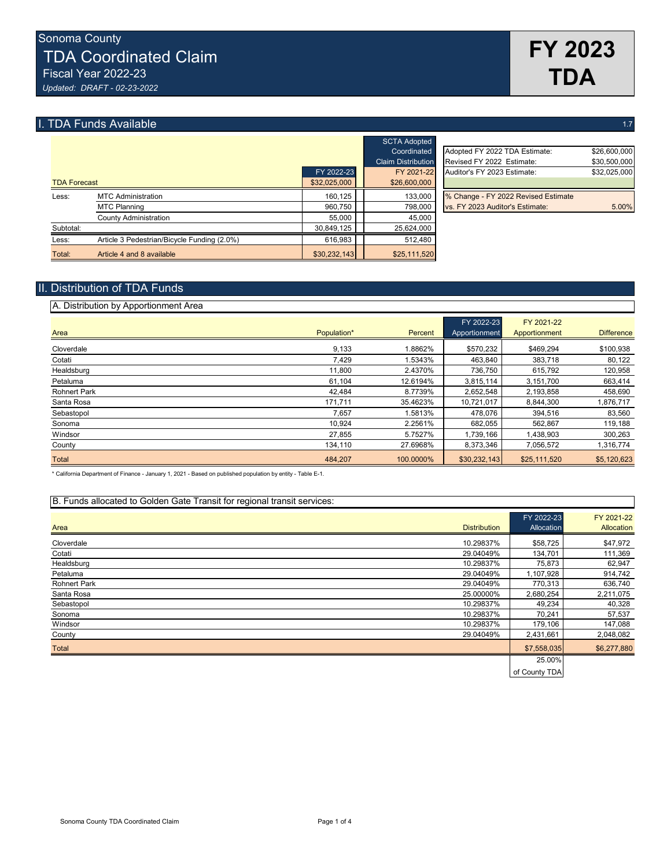# **I. TDA Funds Available** 1.7 **and 2.7** and 2.7 **and 2.7** and 2.7 **and 2.7** and 2.7 **and 2.7** and 2.7 **and 2.7** and 2.7 **and 2.7** and 2.7 **and 2.7** and 2.7 **and 2.7** and 2.7 **and 2.7** and 2.7 **and 2.7** and 2.7 **and 2.7** and

|                     |                                             |              | <b>SCTA Adopted</b>       |                                     |              |
|---------------------|---------------------------------------------|--------------|---------------------------|-------------------------------------|--------------|
|                     |                                             |              | Coordinated               | Adopted FY 2022 TDA Estimate:       | \$26,600,000 |
|                     |                                             |              | <b>Claim Distribution</b> | Revised FY 2022 Estimate:           | \$30,500,000 |
|                     |                                             | FY 2022-23   | FY 2021-22                | Auditor's FY 2023 Estimate:         | \$32,025,000 |
| <b>TDA Forecast</b> |                                             | \$32,025,000 | \$26,600,000              |                                     |              |
| Less:               | <b>MTC Administration</b>                   | 160.125      | 133,000                   | % Change - FY 2022 Revised Estimate |              |
|                     | <b>MTC Planning</b>                         | 960.750      | 798,000                   | vs. FY 2023 Auditor's Estimate:     | 5.00%        |
|                     | County Administration                       | 55.000       | 45.000                    |                                     |              |
| Subtotal:           |                                             | 30.849.125   | 25,624,000                |                                     |              |
| Less:               | Article 3 Pedestrian/Bicycle Funding (2.0%) | 616,983      | 512.480                   |                                     |              |
| Total:              | Article 4 and 8 available                   | \$30,232,143 | \$25,111,520              |                                     |              |

|               | <b>OUTH AUDICU</b>        |                                     |              |
|---------------|---------------------------|-------------------------------------|--------------|
|               | Coordinated               | Adopted FY 2022 TDA Estimate:       | \$26,600,000 |
|               | <b>Claim Distribution</b> | Revised FY 2022 Estimate:           | \$30,500,000 |
| FY 2022-23    | FY 2021-22                | Auditor's FY 2023 Estimate:         | \$32,025,000 |
| 32.025.000    | \$26,600,000              |                                     |              |
| 160.125       | 133,000                   | % Change - FY 2022 Revised Estimate |              |
| 960,750       | 798,000                   | vs. FY 2023 Auditor's Estimate:     | 5.00%        |
| <b>55.000</b> | 45.000                    |                                     |              |

## II. Distribution of TDA Funds

| A. Distribution by Apportionment Area |             |           |                             |                             |                   |
|---------------------------------------|-------------|-----------|-----------------------------|-----------------------------|-------------------|
| Area                                  | Population* | Percent   | FY 2022-23<br>Apportionment | FY 2021-22<br>Apportionment | <b>Difference</b> |
| Cloverdale                            | 9,133       | 1.8862%   | \$570,232                   | \$469.294                   | \$100,938         |
| Cotati                                | 7,429       | 1.5343%   | 463,840                     | 383,718                     | 80,122            |
| Healdsburg                            | 11,800      | 2.4370%   | 736,750                     | 615,792                     | 120,958           |
| Petaluma                              | 61,104      | 12.6194%  | 3,815,114                   | 3,151,700                   | 663,414           |
| <b>Rohnert Park</b>                   | 42,484      | 8.7739%   | 2,652,548                   | 2,193,858                   | 458,690           |
| Santa Rosa                            | 171,711     | 35.4623%  | 10,721,017                  | 8,844,300                   | 1,876,717         |
| Sebastopol                            | 7,657       | 1.5813%   | 478,076                     | 394,516                     | 83,560            |
| Sonoma                                | 10.924      | 2.2561%   | 682.055                     | 562.867                     | 119,188           |
| Windsor                               | 27,855      | 5.7527%   | 1,739,166                   | 1,438,903                   | 300,263           |
| County                                | 134,110     | 27.6968%  | 8,373,346                   | 7,056,572                   | 1,316,774         |
| Total                                 | 484,207     | 100.0000% | \$30,232,143                | \$25,111,520                | \$5,120,623       |

\* California Department of Finance - January 1, 2021 - Based on published population by entity - Table E-1.

#### B. Funds allocated to Golden Gate Transit for regional transit services:

| Area                | <b>Distribution</b> | FY 2022-23<br>Allocation | FY 2021-22<br>Allocation |
|---------------------|---------------------|--------------------------|--------------------------|
| Cloverdale          | 10.29837%           | \$58,725                 | \$47,972                 |
| Cotati              | 29.04049%           | 134,701                  | 111,369                  |
| Healdsburg          | 10.29837%           | 75,873                   | 62,947                   |
| Petaluma            | 29.04049%           | 1,107,928                | 914,742                  |
| <b>Rohnert Park</b> | 29.04049%           | 770,313                  | 636,740                  |
| Santa Rosa          | 25.00000%           | 2,680,254                | 2,211,075                |
| Sebastopol          | 10.29837%           | 49,234                   | 40,328                   |
| Sonoma              | 10.29837%           | 70,241                   | 57,537                   |
| Windsor             | 10.29837%           | 179,106                  | 147,088                  |
| County              | 29.04049%           | 2,431,661                | 2,048,082                |
| Total               |                     | \$7,558,035              | \$6,277,880              |
|                     |                     | 25.00%                   |                          |
|                     |                     | of County TDA            |                          |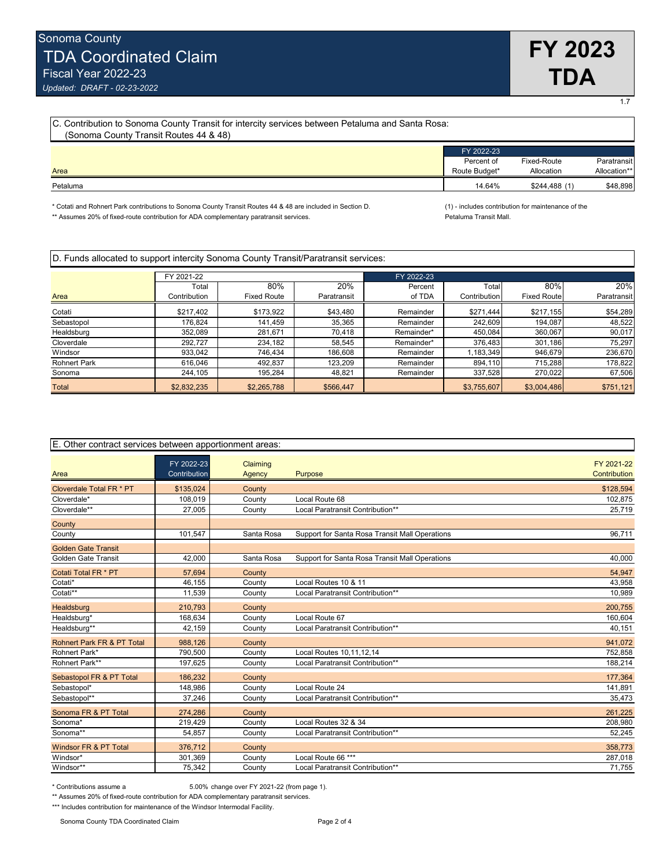1.7

| C. Contribution to Sonoma County Transit for intercity services between Petaluma and Santa Rosa:<br>(Sonoma County Transit Routes 44 & 48) |                          |               |              |  |  |
|--------------------------------------------------------------------------------------------------------------------------------------------|--------------------------|---------------|--------------|--|--|
|                                                                                                                                            | FY 2022-23<br>Percent of | Fixed-Route   | Paratransit  |  |  |
| Area                                                                                                                                       | Route Budget*            | Allocation    | Allocation** |  |  |
| Petaluma                                                                                                                                   | 14.64%                   | \$244,488 (1) | \$48,898     |  |  |

\* Cotati and Rohnert Park contributions to Sonoma County Transit Routes 44 & 48 are included in Section D. (1) - includes contribution for maintenance of the<br>\*\* Assumes 20% of fixed-route contribution for ADA complementary \*\* Assumes 20% of fixed-route contribution for ADA complementary paratransit services.

| D. Funds allocated to support intercity Sonoma County Transit/Paratransit services: |  |  |  |
|-------------------------------------------------------------------------------------|--|--|--|
|-------------------------------------------------------------------------------------|--|--|--|

|                     | FY 2021-22   |                    |             | FY 2022-23 |              |                    |             |
|---------------------|--------------|--------------------|-------------|------------|--------------|--------------------|-------------|
|                     | Total        | 80%                | 20%         | Percent    | Total        | 80%                | 20%         |
| Area                | Contribution | <b>Fixed Route</b> | Paratransit | of TDA     | Contribution | <b>Fixed Route</b> | Paratransit |
| Cotati              | \$217.402    | \$173,922          | \$43,480    | Remainder  | \$271,444    | \$217,155          | \$54,289    |
| Sebastopol          | 176.824      | 141,459            | 35,365      | Remainder  | 242,609      | 194.087            | 48,522      |
| Healdsburg          | 352.089      | 281.671            | 70.418      | Remainder* | 450,084      | 360,067            | 90,017      |
| Cloverdale          | 292.727      | 234,182            | 58.545      | Remainder* | 376,483      | 301,186            | 75,297      |
| Windsor             | 933.042      | 746,434            | 186,608     | Remainder  | 1,183,349    | 946,679            | 236,670     |
| <b>Rohnert Park</b> | 616.046      | 492,837            | 123,209     | Remainder  | 894,110      | 715,288            | 178,822     |
| Sonoma              | 244,105      | 195,284            | 48,821      | Remainder  | 337,528      | 270,022            | 67,506      |
| Total               | \$2,832,235  | \$2,265,788        | \$566,447   |            | \$3,755,607  | \$3,004,486        | \$751,121   |

| E. Other contract services between apportionment areas: |                            |                    |                                                |                            |  |  |  |
|---------------------------------------------------------|----------------------------|--------------------|------------------------------------------------|----------------------------|--|--|--|
| Area                                                    | FY 2022-23<br>Contribution | Claiming<br>Agency | Purpose                                        | FY 2021-22<br>Contribution |  |  |  |
| Cloverdale Total FR * PT                                | \$135,024                  | County             |                                                | \$128,594                  |  |  |  |
| Cloverdale*                                             | 108,019                    | County             | Local Route 68                                 | 102,875                    |  |  |  |
| Cloverdale**                                            | 27,005                     | County             | Local Paratransit Contribution**               | 25,719                     |  |  |  |
| County                                                  |                            |                    |                                                |                            |  |  |  |
| County                                                  | 101,547                    | Santa Rosa         | Support for Santa Rosa Transit Mall Operations | 96.711                     |  |  |  |
| <b>Golden Gate Transit</b>                              |                            |                    |                                                |                            |  |  |  |
| <b>Golden Gate Transit</b>                              | 42,000                     | Santa Rosa         | Support for Santa Rosa Transit Mall Operations | 40,000                     |  |  |  |
| Cotati Total FR * PT                                    | 57,694                     | County             |                                                | 54,947                     |  |  |  |
| Cotati*                                                 | 46.155                     | County             | Local Routes 10 & 11                           | 43,958                     |  |  |  |
| Cotati**                                                | 11,539                     | County             | Local Paratransit Contribution**               | 10,989                     |  |  |  |
| Healdsburg                                              | 210,793                    | County             |                                                | 200,755                    |  |  |  |
| Healdsburg*                                             | 168.634                    | County             | Local Route 67                                 | 160,604                    |  |  |  |
| Healdsburg**                                            | 42,159                     | County             | Local Paratransit Contribution**               | 40,151                     |  |  |  |
| Rohnert Park FR & PT Total                              | 988,126                    | County             |                                                | 941,072                    |  |  |  |
| Rohnert Park*                                           | 790,500                    | County             | Local Routes 10,11,12,14                       | 752,858                    |  |  |  |
| Rohnert Park**                                          | 197,625                    | County             | Local Paratransit Contribution**               | 188,214                    |  |  |  |
| Sebastopol FR & PT Total                                | 186.232                    | County             |                                                | 177,364                    |  |  |  |
| Sebastopol*                                             | 148,986                    | County             | Local Route 24                                 | 141,891                    |  |  |  |
| Sebastopol**                                            | 37,246                     | County             | Local Paratransit Contribution**               | 35,473                     |  |  |  |
| Sonoma FR & PT Total                                    | 274,286                    | County             |                                                | 261,225                    |  |  |  |
| Sonoma*                                                 | 219,429                    | County             | Local Routes 32 & 34                           | 208,980                    |  |  |  |
| Sonoma**                                                | 54,857                     | County             | Local Paratransit Contribution**               | 52,245                     |  |  |  |
| Windsor FR & PT Total                                   | 376,712                    | County             |                                                | 358,773                    |  |  |  |
| Windsor*                                                | 301,369                    | County             | Local Route 66 ***                             | 287,018                    |  |  |  |
| Windsor**                                               | 75,342                     | County             | Local Paratransit Contribution**               | 71,755                     |  |  |  |

\* Contributions assume a 5.00% change over FY 2021-22 (from page 1).

\*\* Assumes 20% of fixed-route contribution for ADA complementary paratransit services.

\*\*\* Includes contribution for maintenance of the Windsor Intermodal Facility.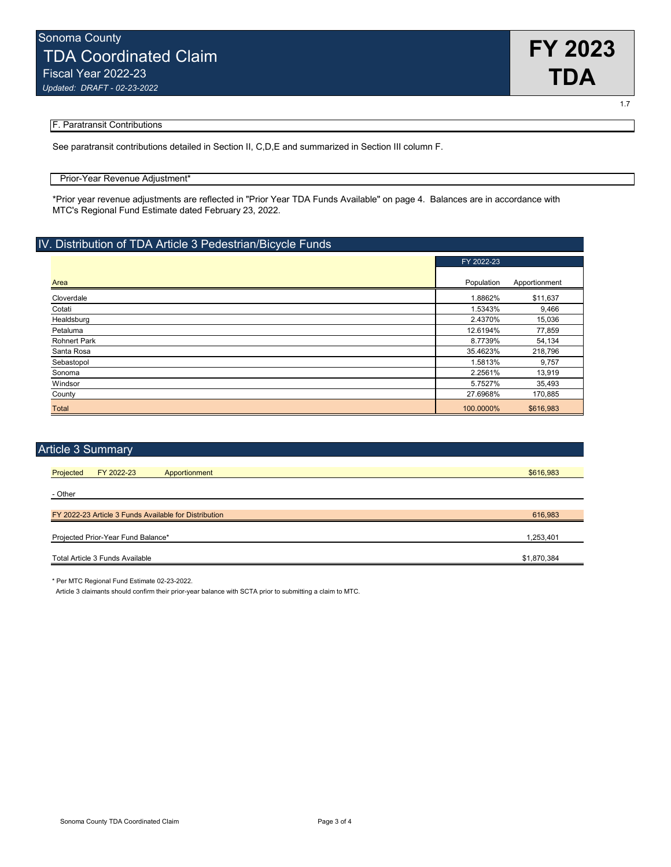

1.7

#### F. Paratransit Contributions

See paratransit contributions detailed in Section II, C,D,E and summarized in Section III column F.

#### Prior-Year Revenue Adjustment\*

\*Prior year revenue adjustments are reflected in "Prior Year TDA Funds Available" on page 4. Balances are in accordance with MTC's Regional Fund Estimate dated February 23, 2022.

#### IV. Distribution of TDA Article 3 Pedestrian/Bicycle Funds

|                     | FY 2022-23 |               |
|---------------------|------------|---------------|
| Area                | Population | Apportionment |
| Cloverdale          | 1.8862%    | \$11,637      |
| Cotati              | 1.5343%    | 9,466         |
| Healdsburg          | 2.4370%    | 15,036        |
| Petaluma            | 12.6194%   | 77,859        |
| <b>Rohnert Park</b> | 8.7739%    | 54,134        |
| Santa Rosa          | 35.4623%   | 218,796       |
| Sebastopol          | 1.5813%    | 9,757         |
| Sonoma              | 2.2561%    | 13,919        |
| Windsor             | 5.7527%    | 35,493        |
| County              | 27.6968%   | 170,885       |
| <b>Total</b>        | 100.0000%  | \$616,983     |

| <b>Article 3 Summary</b>                              |             |
|-------------------------------------------------------|-------------|
|                                                       |             |
| Projected<br>FY 2022-23<br>Apportionment              | \$616,983   |
|                                                       |             |
| - Other                                               |             |
|                                                       |             |
| FY 2022-23 Article 3 Funds Available for Distribution | 616,983     |
|                                                       |             |
| Projected Prior-Year Fund Balance*                    | 1,253,401   |
|                                                       |             |
| Total Article 3 Funds Available                       | \$1,870,384 |
|                                                       |             |

\* Per MTC Regional Fund Estimate 02-23-2022.

Article 3 claimants should confirm their prior-year balance with SCTA prior to submitting a claim to MTC.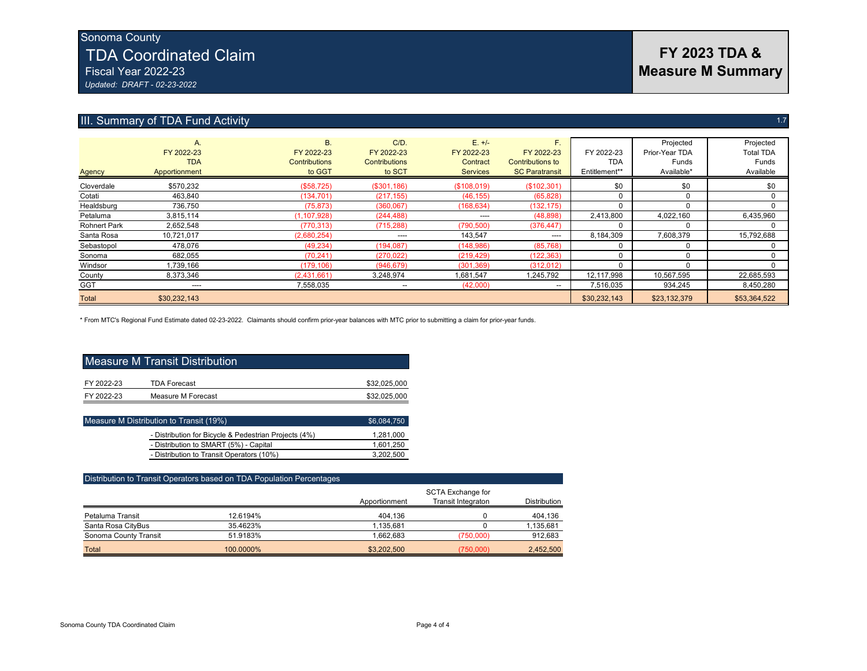# Sonoma County TDA Coordinated Claim Fiscal Year 2022-23

*Updated: DRAFT - 02-23-2022*

## III. Summary of TDA Fund Activity 1.7

| <b>Agency</b>       | A.<br>FY 2022-23<br><b>TDA</b><br>Apportionment | <b>B.</b><br>FY 2022-23<br><b>Contributions</b><br>to GGT | $C/D$ .<br>FY 2022-23<br><b>Contributions</b><br>to SCT | $E. +/-$<br>FY 2022-23<br>Contract<br><b>Services</b> | F.<br>FY 2022-23<br><b>Contributions to</b><br><b>SC Paratransit</b> | FY 2022-23<br><b>TDA</b><br>Entitlement** | Projected<br>Prior-Year TDA<br>Funds<br>Available* | Projected<br><b>Total TDA</b><br>Funds<br>Available |
|---------------------|-------------------------------------------------|-----------------------------------------------------------|---------------------------------------------------------|-------------------------------------------------------|----------------------------------------------------------------------|-------------------------------------------|----------------------------------------------------|-----------------------------------------------------|
| Cloverdale          | \$570.232                                       | (\$58,725)                                                | (\$301,186)                                             | (\$108,019)                                           | (\$102,301)                                                          | \$0                                       | \$0                                                | \$0                                                 |
| Cotati              | 463,840                                         | (134, 701)                                                | (217, 155)                                              | (46, 155)                                             | (65, 828)                                                            |                                           | 0                                                  |                                                     |
| Healdsburg          | 736,750                                         | (75, 873)                                                 | (360,067)                                               | (168, 634)                                            | (132, 175)                                                           |                                           | 0                                                  |                                                     |
| Petaluma            | 3,815,114                                       | (1, 107, 928)                                             | (244, 488)                                              | $---$                                                 | (48, 898)                                                            | 2,413,800                                 | 4,022,160                                          | 6,435,960                                           |
| <b>Rohnert Park</b> | 2,652,548                                       | (770, 313)                                                | (715, 288)                                              | (790, 500)                                            | (376, 447)                                                           |                                           |                                                    |                                                     |
| Santa Rosa          | 10,721,017                                      | (2,680,254)                                               | ----                                                    | 143,547                                               | ----                                                                 | 8,184,309                                 | 7,608,379                                          | 15,792,688                                          |
| Sebastopol          | 478,076                                         | (49, 234)                                                 | (194, 087)                                              | (148, 986)                                            | (85, 768)                                                            |                                           |                                                    |                                                     |
| Sonoma              | 682,055                                         | (70, 241)                                                 | (270, 022)                                              | (219, 429)                                            | (122, 363)                                                           |                                           | $\Omega$                                           |                                                     |
| Windsor             | 1,739,166                                       | (179, 106)                                                | (946, 679)                                              | (301, 369)                                            | (312, 012)                                                           |                                           |                                                    |                                                     |
| County              | 8,373,346                                       | (2,431,661)                                               | 3,248,974                                               | 1,681,547                                             | 1,245,792                                                            | 12,117,998                                | 10,567,595                                         | 22,685,593                                          |
| <b>GGT</b>          | ----                                            | 7,558,035                                                 | --                                                      | (42,000)                                              | $- -$                                                                | 7.516.035                                 | 934.245                                            | 8.450.280                                           |
| <b>Total</b>        | \$30,232,143                                    |                                                           |                                                         |                                                       |                                                                      | \$30,232,143                              | \$23,132,379                                       | \$53,364,522                                        |

\* From MTC's Regional Fund Estimate dated 02-23-2022. Claimants should confirm prior-year balances with MTC prior to submitting a claim for prior-year funds.

| Measure M Transit Distribution |                     |              |  |  |  |  |  |
|--------------------------------|---------------------|--------------|--|--|--|--|--|
| FY 2022-23                     | <b>TDA Forecast</b> | \$32,025,000 |  |  |  |  |  |
| FY 2022-23                     | Measure M Forecast  | \$32,025,000 |  |  |  |  |  |

| Measure M Distribution to Transit (19%)               | \$6,084,750 |
|-------------------------------------------------------|-------------|
| - Distribution for Bicycle & Pedestrian Projects (4%) | 1.281.000   |
| - Distribution to SMART (5%) - Capital                | 1,601,250   |
| - Distribution to Transit Operators (10%)             | 3.202.500   |

| Distribution to Transit Operators based on TDA Population Percentages |           |               |                                         |                     |  |  |  |  |  |
|-----------------------------------------------------------------------|-----------|---------------|-----------------------------------------|---------------------|--|--|--|--|--|
|                                                                       |           | Apportionment | SCTA Exchange for<br>Transit Integraton | <b>Distribution</b> |  |  |  |  |  |
| Petaluma Transit                                                      | 12.6194%  | 404.136       |                                         | 404,136             |  |  |  |  |  |
| Santa Rosa CityBus                                                    | 35.4623%  | 1.135.681     |                                         | 1,135,681           |  |  |  |  |  |
| Sonoma County Transit                                                 | 51.9183%  | 1.662.683     | (750.000)                               | 912,683             |  |  |  |  |  |
| Total                                                                 | 100.0000% | \$3,202,500   | (750,000)                               | 2,452,500           |  |  |  |  |  |

# **FY 2023 TDA & Measure M Summary**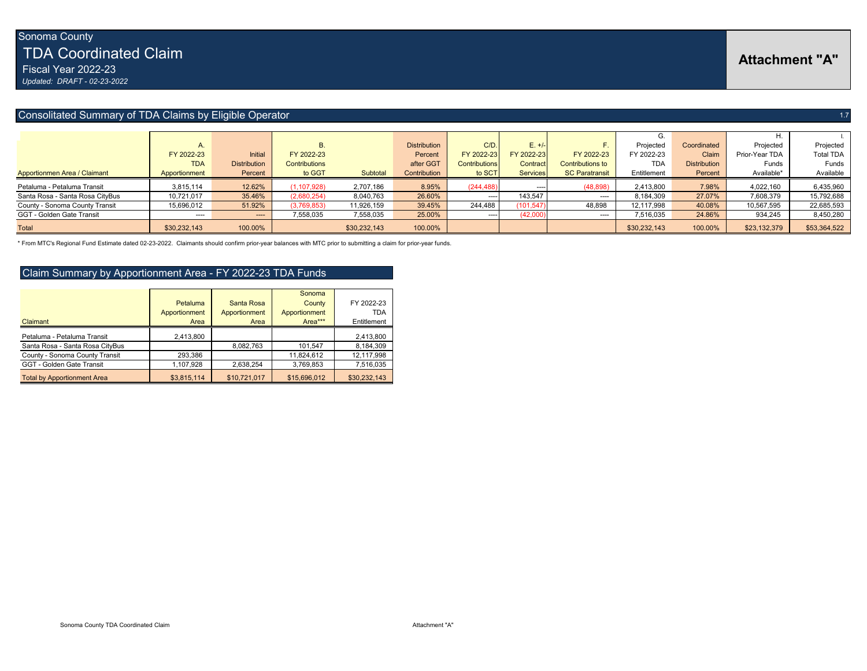TDA Coordinated Claim

Fiscal Year 2022-23

*Updated: DRAFT - 02-23-2022*

#### Consolitated Summary of TDA Claims by Eligible Operator 1.7 And 2.1 And 2.1 And 2.1 And 2.1 And 2.1 And 2.1 And 2.1 And 2.1 And 2.1 And 2.1 And 2.1 And 2.1 And 2.1 And 2.1 And 2.1 And 2.1 And 2.1 And 2.1 And 2.1 And 2.1 An

|                                 |               |                     | <b>B.</b>     |              | <b>Distribution</b> | C/D                  | $E. +/-$        |                         | Projected    | Coordinated         | Projected      | Projected        |
|---------------------------------|---------------|---------------------|---------------|--------------|---------------------|----------------------|-----------------|-------------------------|--------------|---------------------|----------------|------------------|
|                                 | FY 2022-23    | Initial             | FY 2022-23    |              | Percent             | FY 2022-23           | FY 2022-23      | FY 2022-23              | FY 2022-23   | Claim               | Prior-Year TDA | <b>Total TDA</b> |
|                                 | <b>TDA</b>    | <b>Distribution</b> | Contributions |              | after GGT           | <b>Contributions</b> | Contract        | <b>Contributions to</b> | <b>TDA</b>   | <b>Distribution</b> | Funds          | Funds            |
| Apportionmen Area / Claimant    | Apportionment | Percent             | to GGT        | Subtotal     | Contribution        | to SCT               | <b>Services</b> | <b>SC Paratransit</b>   | Entitlement  | Percent             | Available*     | Available        |
| Petaluma - Petaluma Transit     | 3,815,114     | 12.62%              | (1, 107, 928) | 2,707,186    | 8.95%               | (244, 488)           | $---$           | (48, 898)               | 2,413,800    | 7.98%               | 4,022,160      | 6,435,960        |
| Santa Rosa - Santa Rosa CityBus | 10.721.017    | 35.46%              | (2,680,254)   | 8,040,763    | 26.60%              | $---$                | 143,547         | $---$                   | 8,184,309    | 27.07%              | 7,608,379      | 15,792,688       |
| County - Sonoma County Transit  | 15,696,012    | 51.92%              | (3,769,853)   | 11,926,159   | 39.45%              | 244,488              | (101, 547)      | 48,898                  | 12,117,998   | 40.08%              | 10,567,595     | 22,685,593       |
| GGT - Golden Gate Transit       | ----          | $\cdots$            | 7,558,035     | 7,558,035    | 25.00%              | ----                 | (42,000,        | ----                    | 7,516,035    | 24.86%              | 934,245        | 8,450,280        |
| <b>Total</b>                    | \$30,232,143  | 100.00%             |               | \$30,232,143 | 100.00%             |                      |                 |                         | \$30,232,143 | 100.00%             | \$23,132,379   | \$53,364,522     |

\* From MTC's Regional Fund Estimate dated 02-23-2022. Claimants should confirm prior-year balances with MTC prior to submitting a claim for prior-year funds.

#### Claim Summary by Apportionment Area - FY 2022-23 TDA Funds

|                                    |               |               | Sonoma        |              |
|------------------------------------|---------------|---------------|---------------|--------------|
|                                    | Petaluma      | Santa Rosa    | County        | FY 2022-23   |
|                                    | Apportionment | Apportionment | Apportionment | TDA          |
| Claimant                           | Area          | Area          | Area***       | Entitlement  |
| Petaluma - Petaluma Transit        | 2,413,800     |               |               | 2,413,800    |
| Santa Rosa - Santa Rosa CityBus    |               | 8.082.763     | 101,547       | 8,184,309    |
| County - Sonoma County Transit     | 293,386       |               | 11,824,612    | 12,117,998   |
| GGT - Golden Gate Transit          | 1,107,928     | 2.638.254     | 3,769,853     | 7,516,035    |
| <b>Total by Apportionment Area</b> | \$3,815,114   | \$10,721,017  | \$15,696,012  | \$30,232,143 |